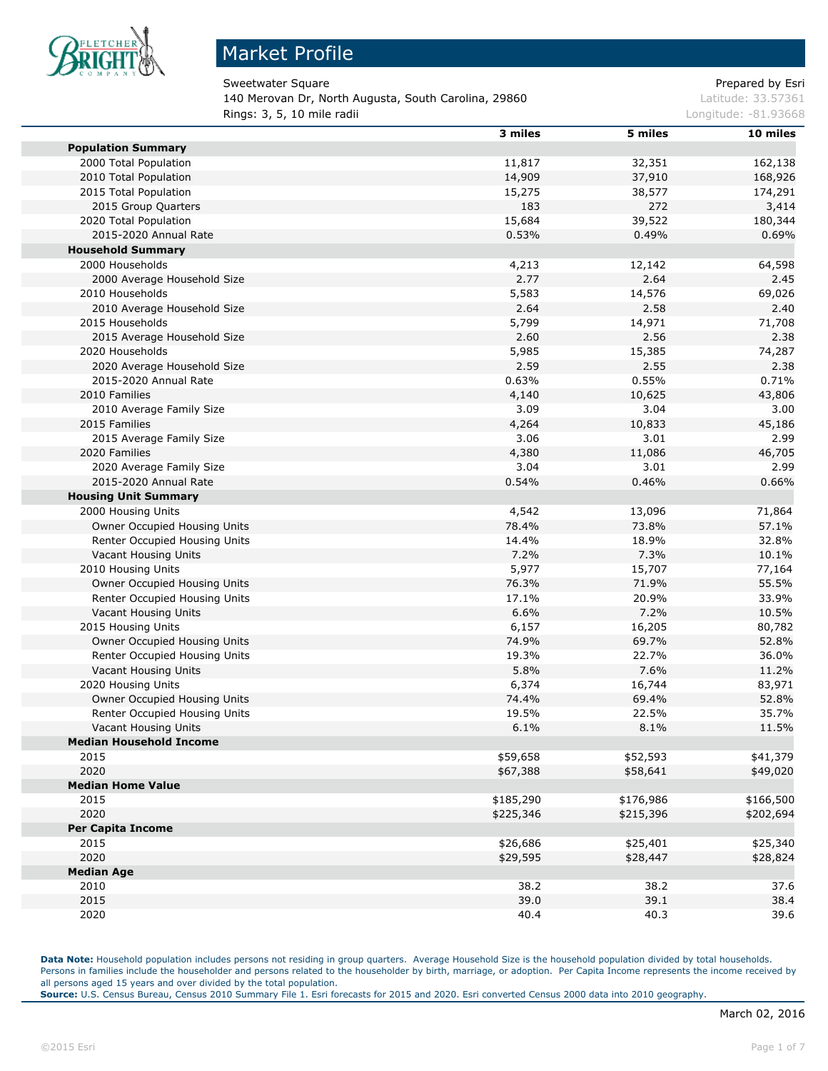

### Market Profile

Sweetwater Square **Prepared by Esri** Prepared by Esri

140 Merovan Dr, North Augusta, South Carolina, 29860 Latitude: 33.57361 **Rings: 3, 5, 10 mile radii Longitude: -81.93668 Longitude: -81.93668** 

|                                | 3 miles   | 5 miles   | 10 miles  |
|--------------------------------|-----------|-----------|-----------|
| <b>Population Summary</b>      |           |           |           |
| 2000 Total Population          | 11,817    | 32,351    | 162,138   |
| 2010 Total Population          | 14,909    | 37,910    | 168,926   |
| 2015 Total Population          | 15,275    | 38,577    | 174,291   |
| 2015 Group Quarters            | 183       | 272       | 3,414     |
| 2020 Total Population          | 15,684    | 39,522    | 180,344   |
| 2015-2020 Annual Rate          | 0.53%     | 0.49%     | 0.69%     |
| <b>Household Summary</b>       |           |           |           |
| 2000 Households                | 4,213     | 12,142    | 64,598    |
| 2000 Average Household Size    | 2.77      | 2.64      | 2.45      |
| 2010 Households                | 5,583     | 14,576    | 69,026    |
| 2010 Average Household Size    | 2.64      | 2.58      | 2.40      |
| 2015 Households                | 5,799     | 14,971    | 71,708    |
| 2015 Average Household Size    | 2.60      | 2.56      | 2.38      |
| 2020 Households                | 5,985     | 15,385    | 74,287    |
| 2020 Average Household Size    | 2.59      | 2.55      | 2.38      |
| 2015-2020 Annual Rate          | 0.63%     | 0.55%     | 0.71%     |
| 2010 Families                  | 4,140     | 10,625    | 43,806    |
| 2010 Average Family Size       | 3.09      | 3.04      | 3.00      |
| 2015 Families                  | 4,264     | 10,833    | 45,186    |
| 2015 Average Family Size       | 3.06      | 3.01      | 2.99      |
| 2020 Families                  | 4,380     | 11,086    | 46,705    |
| 2020 Average Family Size       | 3.04      | 3.01      | 2.99      |
| 2015-2020 Annual Rate          | 0.54%     | 0.46%     | 0.66%     |
| <b>Housing Unit Summary</b>    |           |           |           |
| 2000 Housing Units             | 4,542     | 13,096    | 71,864    |
| Owner Occupied Housing Units   | 78.4%     | 73.8%     | 57.1%     |
| Renter Occupied Housing Units  | 14.4%     | 18.9%     | 32.8%     |
| Vacant Housing Units           | 7.2%      | 7.3%      | 10.1%     |
| 2010 Housing Units             | 5,977     | 15,707    | 77,164    |
| Owner Occupied Housing Units   | 76.3%     | 71.9%     | 55.5%     |
| Renter Occupied Housing Units  | 17.1%     | 20.9%     | 33.9%     |
| Vacant Housing Units           | 6.6%      | 7.2%      | 10.5%     |
| 2015 Housing Units             | 6,157     | 16,205    | 80,782    |
| Owner Occupied Housing Units   | 74.9%     | 69.7%     | 52.8%     |
| Renter Occupied Housing Units  | 19.3%     | 22.7%     | 36.0%     |
| Vacant Housing Units           | 5.8%      | 7.6%      | 11.2%     |
| 2020 Housing Units             | 6,374     | 16,744    | 83,971    |
| Owner Occupied Housing Units   | 74.4%     | 69.4%     | 52.8%     |
| Renter Occupied Housing Units  | 19.5%     | 22.5%     | 35.7%     |
| Vacant Housing Units           | 6.1%      | 8.1%      | 11.5%     |
| <b>Median Household Income</b> |           |           |           |
| 2015                           | \$59,658  | \$52,593  | \$41,379  |
| 2020                           | \$67,388  | \$58,641  | \$49,020  |
| <b>Median Home Value</b>       |           |           |           |
| 2015                           | \$185,290 | \$176,986 | \$166,500 |
| 2020                           | \$225,346 | \$215,396 | \$202,694 |
| <b>Per Capita Income</b>       |           |           |           |
| 2015                           | \$26,686  | \$25,401  | \$25,340  |
| 2020                           | \$29,595  | \$28,447  | \$28,824  |
| <b>Median Age</b>              |           |           |           |
| 2010                           | 38.2      | 38.2      | 37.6      |
| 2015                           | 39.0      | 39.1      | 38.4      |
| 2020                           | 40.4      | 40.3      | 39.6      |

**Data Note:** Household population includes persons not residing in group quarters. Average Household Size is the household population divided by total households. Persons in families include the householder and persons related to the householder by birth, marriage, or adoption. Per Capita Income represents the income received by all persons aged 15 years and over divided by the total population.

**Source:** U.S. Census Bureau, Census 2010 Summary File 1. Esri forecasts for 2015 and 2020. Esri converted Census 2000 data into 2010 geography.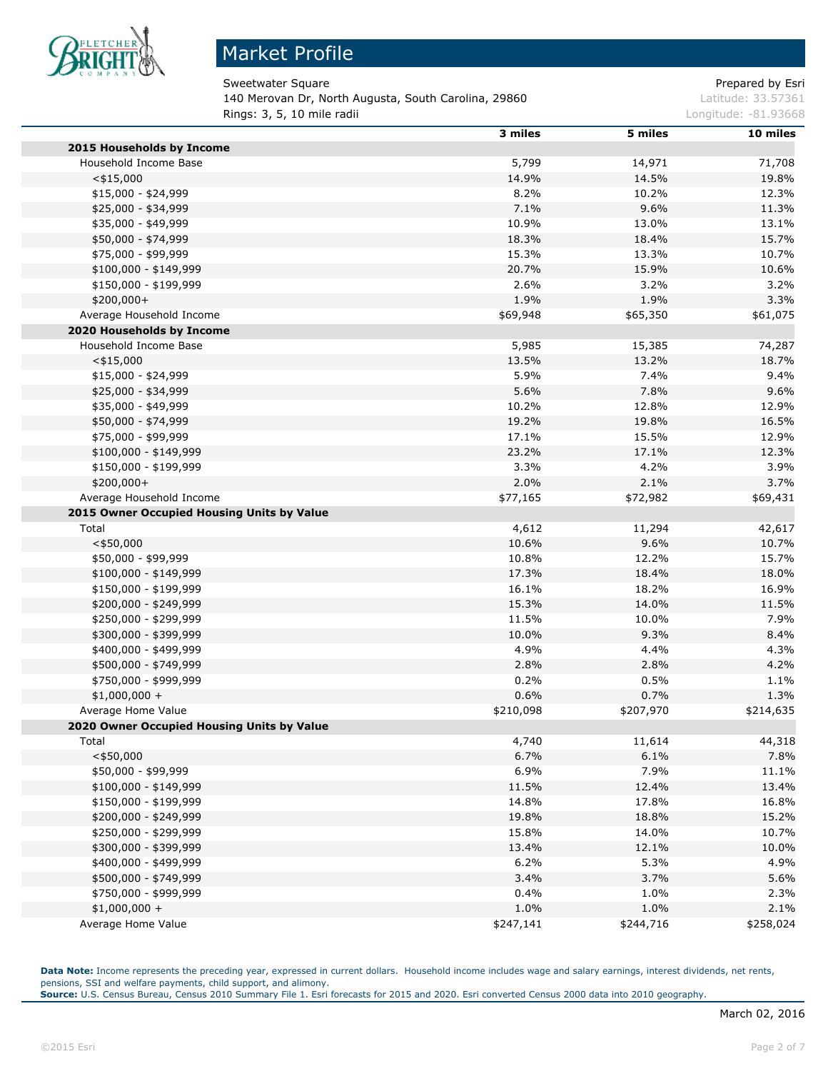

## Market Profile

Sweetwater Square **Prepared by Esri** Prepared by Esri

140 Merovan Dr, North Augusta, South Carolina, 29860 Latitude: 33.57361 **Rings: 3, 5, 10 mile radii Longitude: -81.93668 Longitude: -81.93668** 

|                                            | 3 miles   | 5 miles   | 10 miles  |
|--------------------------------------------|-----------|-----------|-----------|
| 2015 Households by Income                  |           |           |           |
| Household Income Base                      | 5,799     | 14,971    | 71,708    |
| $<$ \$15,000                               | 14.9%     | 14.5%     | 19.8%     |
| $$15,000 - $24,999$                        | 8.2%      | 10.2%     | 12.3%     |
| \$25,000 - \$34,999                        | 7.1%      | 9.6%      | 11.3%     |
| \$35,000 - \$49,999                        | 10.9%     | 13.0%     | 13.1%     |
| \$50,000 - \$74,999                        | 18.3%     | 18.4%     | 15.7%     |
| \$75,000 - \$99,999                        | 15.3%     | 13.3%     | 10.7%     |
| $$100,000 - $149,999$                      | 20.7%     | 15.9%     | 10.6%     |
| \$150,000 - \$199,999                      | 2.6%      | 3.2%      | 3.2%      |
| $$200,000+$                                | 1.9%      | 1.9%      | 3.3%      |
| Average Household Income                   | \$69,948  | \$65,350  | \$61,075  |
| 2020 Households by Income                  |           |           |           |
| Household Income Base                      | 5,985     | 15,385    | 74,287    |
| $<$ \$15,000                               | 13.5%     | 13.2%     | 18.7%     |
| $$15,000 - $24,999$                        | 5.9%      | 7.4%      | 9.4%      |
| \$25,000 - \$34,999                        | 5.6%      | 7.8%      | 9.6%      |
| \$35,000 - \$49,999                        | 10.2%     | 12.8%     | 12.9%     |
| \$50,000 - \$74,999                        | 19.2%     | 19.8%     | 16.5%     |
| \$75,000 - \$99,999                        | 17.1%     | 15.5%     | 12.9%     |
| $$100,000 - $149,999$                      | 23.2%     | 17.1%     | 12.3%     |
| \$150,000 - \$199,999                      | 3.3%      | 4.2%      | 3.9%      |
| $$200,000+$                                | 2.0%      | 2.1%      | 3.7%      |
| Average Household Income                   | \$77,165  | \$72,982  | \$69,431  |
| 2015 Owner Occupied Housing Units by Value |           |           |           |
| Total                                      | 4,612     | 11,294    | 42,617    |
| $<$ \$50,000                               | 10.6%     | 9.6%      | 10.7%     |
| \$50,000 - \$99,999                        | 10.8%     | 12.2%     | 15.7%     |
| $$100,000 - $149,999$                      | 17.3%     | 18.4%     | 18.0%     |
| \$150,000 - \$199,999                      | 16.1%     | 18.2%     | 16.9%     |
| \$200,000 - \$249,999                      | 15.3%     | 14.0%     | 11.5%     |
| \$250,000 - \$299,999                      | 11.5%     | 10.0%     | 7.9%      |
| \$300,000 - \$399,999                      | 10.0%     | 9.3%      | 8.4%      |
| \$400,000 - \$499,999                      | 4.9%      | 4.4%      | 4.3%      |
| \$500,000 - \$749,999                      | 2.8%      | 2.8%      | 4.2%      |
| \$750,000 - \$999,999                      | 0.2%      | 0.5%      | 1.1%      |
| $$1,000,000 +$                             | 0.6%      | 0.7%      | 1.3%      |
| Average Home Value                         | \$210,098 | \$207,970 | \$214,635 |
| 2020 Owner Occupied Housing Units by Value |           |           |           |
| Total                                      | 4,740     | 11,614    | 44,318    |
| $<$ \$50,000                               | 6.7%      | 6.1%      | 7.8%      |
| \$50,000 - \$99,999                        | 6.9%      | 7.9%      | 11.1%     |
| $$100,000 - $149,999$                      | 11.5%     | 12.4%     | 13.4%     |
| \$150,000 - \$199,999                      | 14.8%     | 17.8%     | 16.8%     |
| \$200,000 - \$249,999                      | 19.8%     | 18.8%     | 15.2%     |
| \$250,000 - \$299,999                      | 15.8%     | 14.0%     | 10.7%     |
| \$300,000 - \$399,999                      | 13.4%     | 12.1%     | 10.0%     |
| \$400,000 - \$499,999                      | 6.2%      | 5.3%      | 4.9%      |
| \$500,000 - \$749,999                      | 3.4%      | 3.7%      | 5.6%      |
| \$750,000 - \$999,999                      | 0.4%      | 1.0%      | 2.3%      |
| $$1,000,000 +$                             | 1.0%      | 1.0%      | 2.1%      |
| Average Home Value                         | \$247,141 | \$244,716 | \$258,024 |
|                                            |           |           |           |

Data Note: Income represents the preceding year, expressed in current dollars. Household income includes wage and salary earnings, interest dividends, net rents, pensions, SSI and welfare payments, child support, and alimony. **Source:** U.S. Census Bureau, Census 2010 Summary File 1. Esri forecasts for 2015 and 2020. Esri converted Census 2000 data into 2010 geography.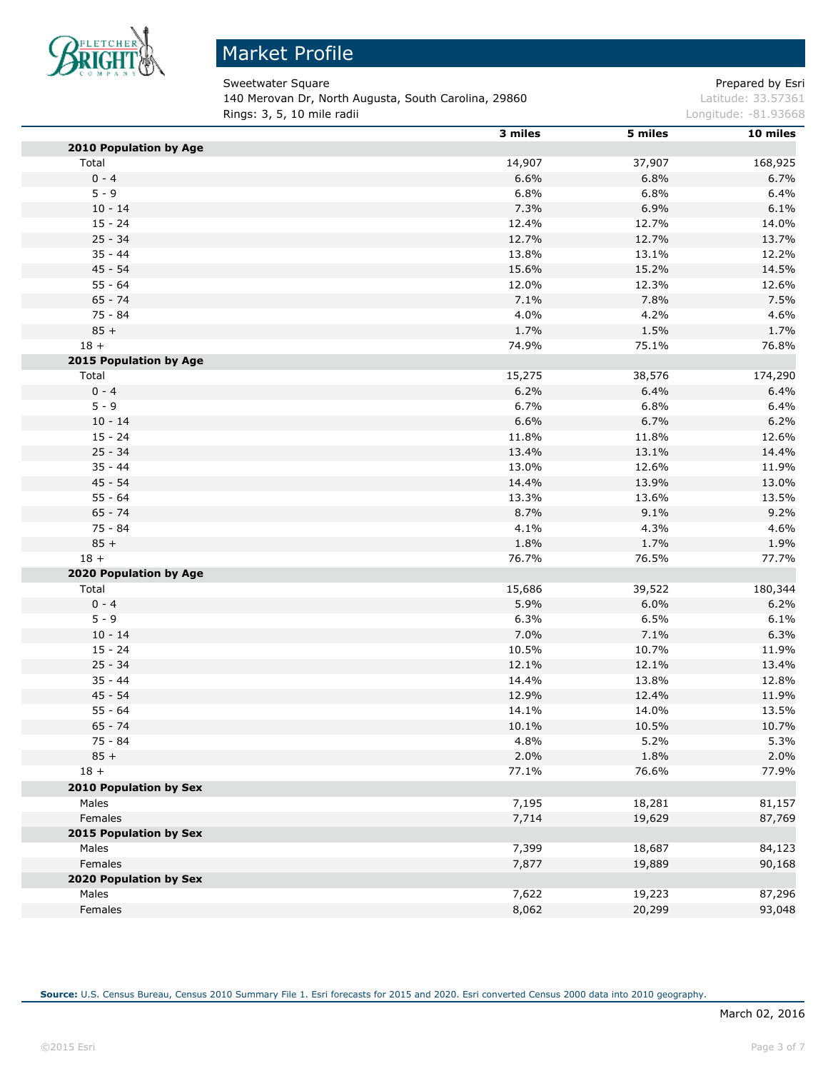

# Market Profile

Sweetwater Square **Prepared by Estimate Square** Prepared by Esri 140 Merovan Dr, North Augusta, South Carolina, 29860 Latitude: 33.57361 **Rings: 3, 5, 10 mile radii Longitude: -81.93668** Longitude: -81.93668

|                        | 3 miles | 5 miles | 10 miles |
|------------------------|---------|---------|----------|
| 2010 Population by Age |         |         |          |
| Total                  | 14,907  | 37,907  | 168,925  |
| $0 - 4$                | 6.6%    | 6.8%    | 6.7%     |
| $5 - 9$                | 6.8%    | 6.8%    | 6.4%     |
| $10 - 14$              | 7.3%    | 6.9%    | 6.1%     |
| $15 - 24$              | 12.4%   | 12.7%   | 14.0%    |
| $25 - 34$              | 12.7%   | 12.7%   | 13.7%    |
| $35 - 44$              | 13.8%   | 13.1%   | 12.2%    |
| $45 - 54$              | 15.6%   | 15.2%   | 14.5%    |
| $55 - 64$              | 12.0%   | 12.3%   | 12.6%    |
| $65 - 74$              | 7.1%    | 7.8%    | 7.5%     |
| $75 - 84$              | 4.0%    | 4.2%    | 4.6%     |
| $85 +$                 | 1.7%    | 1.5%    | 1.7%     |
| $18 +$                 | 74.9%   | 75.1%   | 76.8%    |
| 2015 Population by Age |         |         |          |
| Total                  | 15,275  | 38,576  | 174,290  |
| $0 - 4$                | 6.2%    | 6.4%    | 6.4%     |
| $5 - 9$                | 6.7%    | 6.8%    | 6.4%     |
| $10 - 14$              | 6.6%    | 6.7%    | 6.2%     |
| $15 - 24$              | 11.8%   | 11.8%   | 12.6%    |
| $25 - 34$              | 13.4%   | 13.1%   | 14.4%    |
| $35 - 44$              | 13.0%   | 12.6%   | 11.9%    |
| $45 - 54$              | 14.4%   | 13.9%   | 13.0%    |
| $55 - 64$              | 13.3%   | 13.6%   | 13.5%    |
| $65 - 74$              | 8.7%    | 9.1%    | 9.2%     |
| 75 - 84                | 4.1%    | 4.3%    | 4.6%     |
| $85 +$                 | 1.8%    | 1.7%    | 1.9%     |
| $18 +$                 | 76.7%   | 76.5%   | 77.7%    |
| 2020 Population by Age |         |         |          |
| Total                  | 15,686  | 39,522  | 180,344  |
| $0 - 4$                | 5.9%    | 6.0%    | 6.2%     |
| $5 - 9$                | 6.3%    | 6.5%    | 6.1%     |
| $10 - 14$              | 7.0%    | 7.1%    | 6.3%     |
| $15 - 24$              | 10.5%   | 10.7%   | 11.9%    |
| $25 - 34$              | 12.1%   | 12.1%   | 13.4%    |
| $35 - 44$              | 14.4%   | 13.8%   | 12.8%    |
| 45 - 54                | 12.9%   | 12.4%   | 11.9%    |
| $55 - 64$              | 14.1%   | 14.0%   | 13.5%    |
| $65 - 74$              | 10.1%   | 10.5%   | 10.7%    |
| 75 - 84                | 4.8%    | 5.2%    | 5.3%     |
| $85 +$                 | 2.0%    | 1.8%    | 2.0%     |
| $18 +$                 | 77.1%   | 76.6%   | 77.9%    |
| 2010 Population by Sex |         |         |          |
| Males                  | 7,195   | 18,281  | 81,157   |
| Females                | 7,714   | 19,629  | 87,769   |
| 2015 Population by Sex |         |         |          |
| Males                  | 7,399   | 18,687  | 84,123   |
| Females                | 7,877   | 19,889  | 90,168   |
| 2020 Population by Sex |         |         |          |
| Males                  | 7,622   | 19,223  | 87,296   |
| Females                | 8,062   | 20,299  | 93,048   |
|                        |         |         |          |

**Source:** U.S. Census Bureau, Census 2010 Summary File 1. Esri forecasts for 2015 and 2020. Esri converted Census 2000 data into 2010 geography.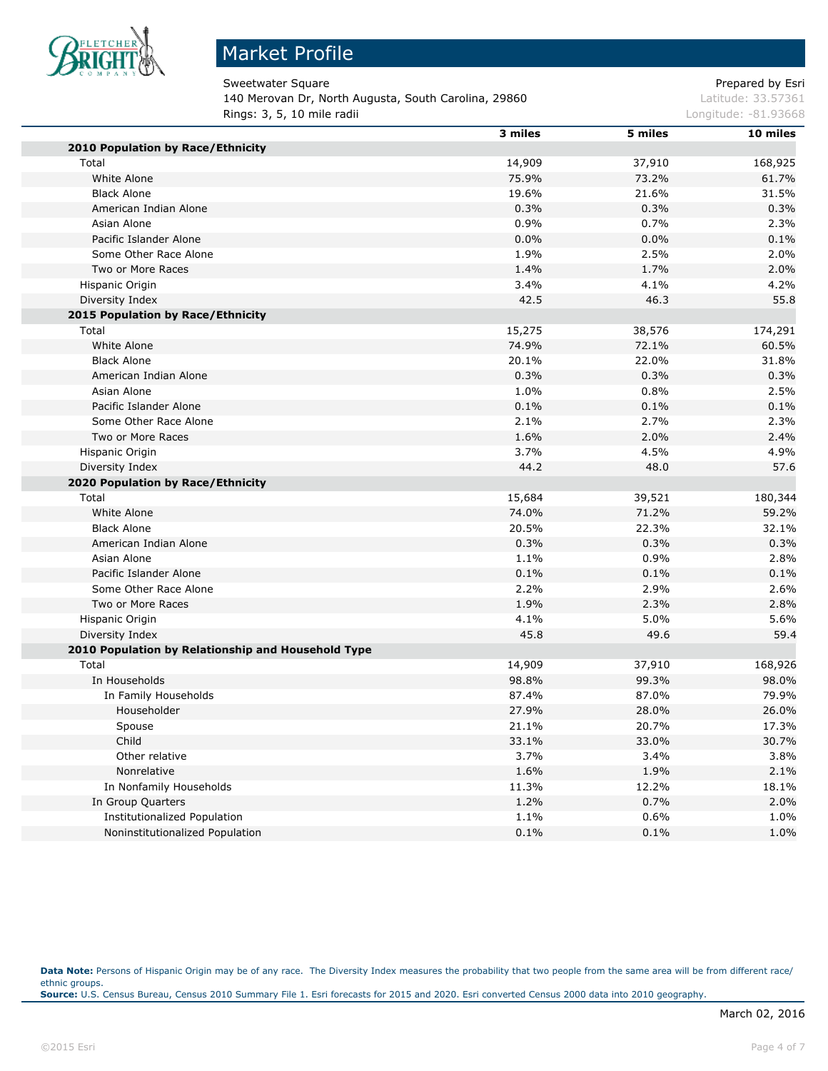

## Market Profile

Sweetwater Square **Prepared by Esri** Prepared by Esri 140 Merovan Dr, North Augusta, South Carolina, 29860 Latitude: 33.57361 **Rings: 3, 5, 10 mile radii Longitude: -81.93668 Longitude: -81.93668** 

|                                                    | 3 miles | 5 miles | 10 miles |
|----------------------------------------------------|---------|---------|----------|
| 2010 Population by Race/Ethnicity                  |         |         |          |
| Total                                              | 14,909  | 37,910  | 168,925  |
| White Alone                                        | 75.9%   | 73.2%   | 61.7%    |
| <b>Black Alone</b>                                 | 19.6%   | 21.6%   | 31.5%    |
| American Indian Alone                              | 0.3%    | 0.3%    | 0.3%     |
| Asian Alone                                        | 0.9%    | 0.7%    | 2.3%     |
| Pacific Islander Alone                             | 0.0%    | 0.0%    | 0.1%     |
| Some Other Race Alone                              | 1.9%    | 2.5%    | 2.0%     |
| Two or More Races                                  | 1.4%    | 1.7%    | 2.0%     |
| Hispanic Origin                                    | 3.4%    | 4.1%    | 4.2%     |
| Diversity Index                                    | 42.5    | 46.3    | 55.8     |
| 2015 Population by Race/Ethnicity                  |         |         |          |
| Total                                              | 15,275  | 38,576  | 174,291  |
| White Alone                                        | 74.9%   | 72.1%   | 60.5%    |
| <b>Black Alone</b>                                 | 20.1%   | 22.0%   | 31.8%    |
| American Indian Alone                              | 0.3%    | 0.3%    | 0.3%     |
| Asian Alone                                        | 1.0%    | 0.8%    | 2.5%     |
| Pacific Islander Alone                             | 0.1%    | 0.1%    | 0.1%     |
| Some Other Race Alone                              | 2.1%    | 2.7%    | 2.3%     |
| Two or More Races                                  | 1.6%    | 2.0%    | 2.4%     |
| Hispanic Origin                                    | 3.7%    | 4.5%    | 4.9%     |
| Diversity Index                                    | 44.2    | 48.0    | 57.6     |
| 2020 Population by Race/Ethnicity                  |         |         |          |
| Total                                              | 15,684  | 39,521  | 180,344  |
| White Alone                                        | 74.0%   | 71.2%   | 59.2%    |
| <b>Black Alone</b>                                 | 20.5%   | 22.3%   | 32.1%    |
| American Indian Alone                              | 0.3%    | 0.3%    | 0.3%     |
| Asian Alone                                        | 1.1%    | 0.9%    | 2.8%     |
| Pacific Islander Alone                             | 0.1%    | 0.1%    | 0.1%     |
| Some Other Race Alone                              | 2.2%    | 2.9%    | 2.6%     |
| Two or More Races                                  | 1.9%    | 2.3%    | 2.8%     |
| Hispanic Origin                                    | 4.1%    | 5.0%    | 5.6%     |
| Diversity Index                                    | 45.8    | 49.6    | 59.4     |
| 2010 Population by Relationship and Household Type |         |         |          |
| Total                                              | 14,909  | 37,910  | 168,926  |
| In Households                                      | 98.8%   | 99.3%   | 98.0%    |
| In Family Households                               | 87.4%   | 87.0%   | 79.9%    |
| Householder                                        | 27.9%   | 28.0%   | 26.0%    |
| Spouse                                             | 21.1%   | 20.7%   | 17.3%    |
| Child                                              | 33.1%   | 33.0%   | 30.7%    |
| Other relative                                     | 3.7%    | 3.4%    | 3.8%     |
| Nonrelative                                        | 1.6%    | 1.9%    | 2.1%     |
| In Nonfamily Households                            | 11.3%   | 12.2%   | 18.1%    |
| In Group Quarters                                  | 1.2%    | 0.7%    | 2.0%     |
| Institutionalized Population                       | 1.1%    | 0.6%    | 1.0%     |
| Noninstitutionalized Population                    | 0.1%    | 0.1%    | 1.0%     |
|                                                    |         |         |          |

Data Note: Persons of Hispanic Origin may be of any race. The Diversity Index measures the probability that two people from the same area will be from different race/ ethnic groups. **Source:** U.S. Census Bureau, Census 2010 Summary File 1. Esri forecasts for 2015 and 2020. Esri converted Census 2000 data into 2010 geography.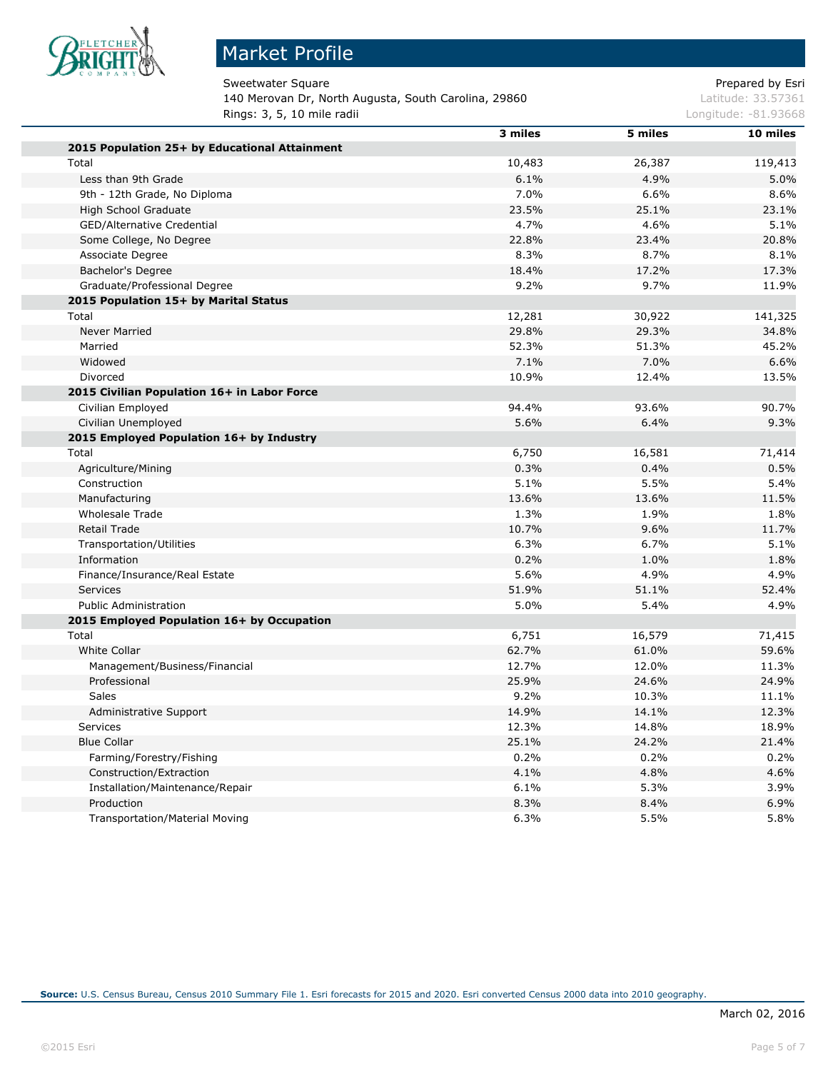

# Market Profile

Sweetwater Square **Prepared by Esri** Prepared by Esri 140 Merovan Dr, North Augusta, South Carolina, 29860 Latitude: 33.57361 **Rings: 3, 5, 10 mile radii Longitude: -81.93668 Longitude: -81.93668** 

|                                               | 3 miles | 5 miles | 10 miles |
|-----------------------------------------------|---------|---------|----------|
| 2015 Population 25+ by Educational Attainment |         |         |          |
| Total                                         | 10,483  | 26,387  | 119,413  |
| Less than 9th Grade                           | 6.1%    | 4.9%    | 5.0%     |
| 9th - 12th Grade, No Diploma                  | 7.0%    | 6.6%    | 8.6%     |
| High School Graduate                          | 23.5%   | 25.1%   | 23.1%    |
| GED/Alternative Credential                    | 4.7%    | 4.6%    | 5.1%     |
| Some College, No Degree                       | 22.8%   | 23.4%   | 20.8%    |
| Associate Degree                              | 8.3%    | 8.7%    | 8.1%     |
| Bachelor's Degree                             | 18.4%   | 17.2%   | 17.3%    |
| Graduate/Professional Degree                  | 9.2%    | 9.7%    | 11.9%    |
| 2015 Population 15+ by Marital Status         |         |         |          |
| Total                                         | 12,281  | 30,922  | 141,325  |
| <b>Never Married</b>                          | 29.8%   | 29.3%   | 34.8%    |
| Married                                       | 52.3%   | 51.3%   | 45.2%    |
| Widowed                                       | 7.1%    | 7.0%    | 6.6%     |
| Divorced                                      | 10.9%   | 12.4%   | 13.5%    |
| 2015 Civilian Population 16+ in Labor Force   |         |         |          |
| Civilian Employed                             | 94.4%   | 93.6%   | 90.7%    |
| Civilian Unemployed                           | 5.6%    | 6.4%    | 9.3%     |
| 2015 Employed Population 16+ by Industry      |         |         |          |
| Total                                         | 6,750   | 16,581  | 71,414   |
| Agriculture/Mining                            | 0.3%    | 0.4%    | 0.5%     |
| Construction                                  | 5.1%    | 5.5%    | 5.4%     |
| Manufacturing                                 | 13.6%   | 13.6%   | 11.5%    |
| <b>Wholesale Trade</b>                        | 1.3%    | 1.9%    | 1.8%     |
| <b>Retail Trade</b>                           | 10.7%   | 9.6%    | 11.7%    |
| Transportation/Utilities                      | 6.3%    | 6.7%    | 5.1%     |
| Information                                   | 0.2%    | 1.0%    | 1.8%     |
| Finance/Insurance/Real Estate                 | 5.6%    | 4.9%    | 4.9%     |
| <b>Services</b>                               | 51.9%   | 51.1%   | 52.4%    |
| <b>Public Administration</b>                  | 5.0%    | 5.4%    | 4.9%     |
| 2015 Employed Population 16+ by Occupation    |         |         |          |
| Total                                         | 6,751   | 16,579  | 71,415   |
| <b>White Collar</b>                           | 62.7%   | 61.0%   | 59.6%    |
| Management/Business/Financial                 | 12.7%   | 12.0%   | 11.3%    |
| Professional                                  | 25.9%   | 24.6%   | 24.9%    |
| Sales                                         | 9.2%    | 10.3%   | 11.1%    |
| Administrative Support                        | 14.9%   | 14.1%   | 12.3%    |
| Services                                      | 12.3%   | 14.8%   | 18.9%    |
| <b>Blue Collar</b>                            | 25.1%   | 24.2%   | 21.4%    |
| Farming/Forestry/Fishing                      | 0.2%    | 0.2%    | 0.2%     |
| Construction/Extraction                       | 4.1%    | 4.8%    | 4.6%     |
| Installation/Maintenance/Repair               | 6.1%    | 5.3%    | 3.9%     |
| Production                                    | 8.3%    | 8.4%    | 6.9%     |
| <b>Transportation/Material Moving</b>         | 6.3%    | 5.5%    | 5.8%     |
|                                               |         |         |          |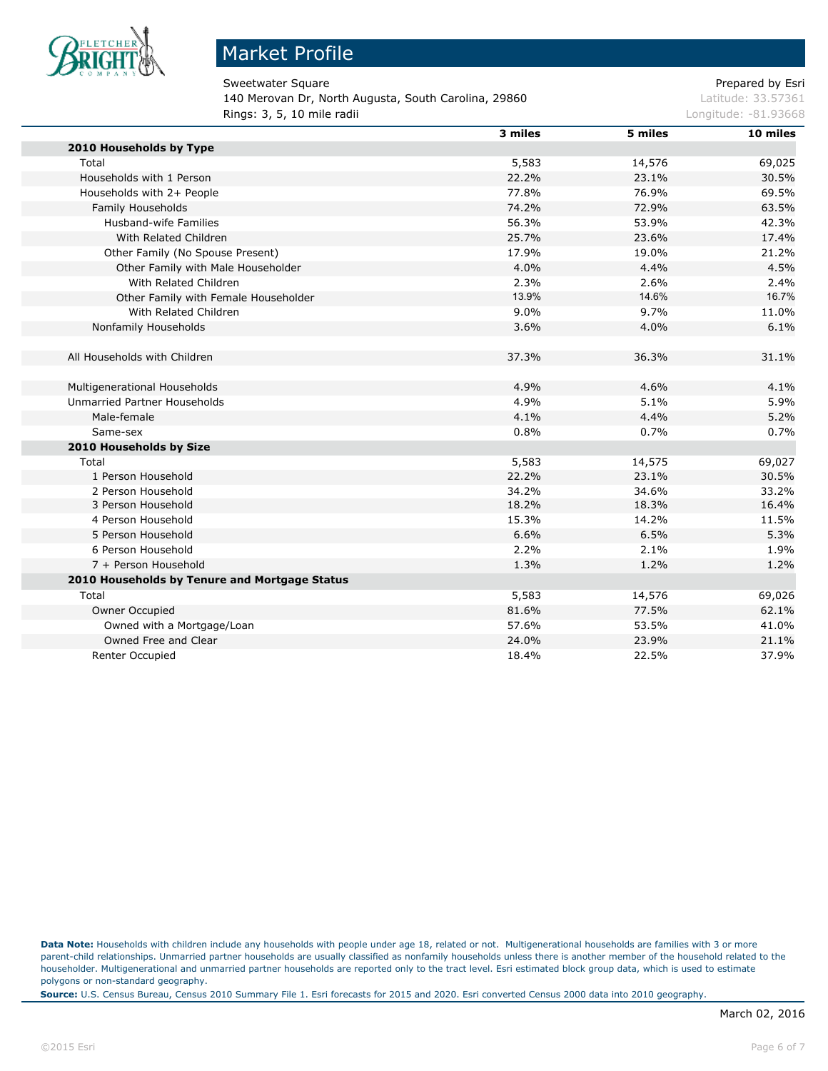

### Market Profile

Sweetwater Square **Prepared by Esri** Prepared by Esri 140 Merovan Dr, North Augusta, South Carolina, 29860 Latitude: 33.57361 **Rings: 3, 5, 10 mile radii Longitude: -81.93668 Longitude: -81.93668** 

|                                               | 3 miles | 5 miles | 10 miles |
|-----------------------------------------------|---------|---------|----------|
| 2010 Households by Type                       |         |         |          |
| Total                                         | 5,583   | 14,576  | 69,025   |
| Households with 1 Person                      | 22.2%   | 23.1%   | 30.5%    |
| Households with 2+ People                     | 77.8%   | 76.9%   | 69.5%    |
| Family Households                             | 74.2%   | 72.9%   | 63.5%    |
| Husband-wife Families                         | 56.3%   | 53.9%   | 42.3%    |
| With Related Children                         | 25.7%   | 23.6%   | 17.4%    |
| Other Family (No Spouse Present)              | 17.9%   | 19.0%   | 21.2%    |
| Other Family with Male Householder            | 4.0%    | 4.4%    | 4.5%     |
| With Related Children                         | 2.3%    | 2.6%    | 2.4%     |
| Other Family with Female Householder          | 13.9%   | 14.6%   | 16.7%    |
| With Related Children                         | 9.0%    | 9.7%    | 11.0%    |
| Nonfamily Households                          | 3.6%    | 4.0%    | 6.1%     |
|                                               |         |         |          |
| All Households with Children                  | 37.3%   | 36.3%   | 31.1%    |
|                                               |         |         |          |
| Multigenerational Households                  | 4.9%    | 4.6%    | 4.1%     |
| Unmarried Partner Households                  | 4.9%    | 5.1%    | 5.9%     |
| Male-female                                   | 4.1%    | 4.4%    | 5.2%     |
| Same-sex                                      | 0.8%    | 0.7%    | 0.7%     |
| 2010 Households by Size                       |         |         |          |
| Total                                         | 5,583   | 14,575  | 69,027   |
| 1 Person Household                            | 22.2%   | 23.1%   | 30.5%    |
| 2 Person Household                            | 34.2%   | 34.6%   | 33.2%    |
| 3 Person Household                            | 18.2%   | 18.3%   | 16.4%    |
| 4 Person Household                            | 15.3%   | 14.2%   | 11.5%    |
| 5 Person Household                            | 6.6%    | 6.5%    | 5.3%     |
| 6 Person Household                            | 2.2%    | 2.1%    | 1.9%     |
| 7 + Person Household                          | 1.3%    | 1.2%    | 1.2%     |
| 2010 Households by Tenure and Mortgage Status |         |         |          |
| Total                                         | 5,583   | 14,576  | 69,026   |
| Owner Occupied                                | 81.6%   | 77.5%   | 62.1%    |
| Owned with a Mortgage/Loan                    | 57.6%   | 53.5%   | 41.0%    |
| Owned Free and Clear                          | 24.0%   | 23.9%   | 21.1%    |
| Renter Occupied                               | 18.4%   | 22.5%   | 37.9%    |

**Data Note:** Households with children include any households with people under age 18, related or not. Multigenerational households are families with 3 or more parent-child relationships. Unmarried partner households are usually classified as nonfamily households unless there is another member of the household related to the householder. Multigenerational and unmarried partner households are reported only to the tract level. Esri estimated block group data, which is used to estimate polygons or non-standard geography.

**Source:** U.S. Census Bureau, Census 2010 Summary File 1. Esri forecasts for 2015 and 2020. Esri converted Census 2000 data into 2010 geography.